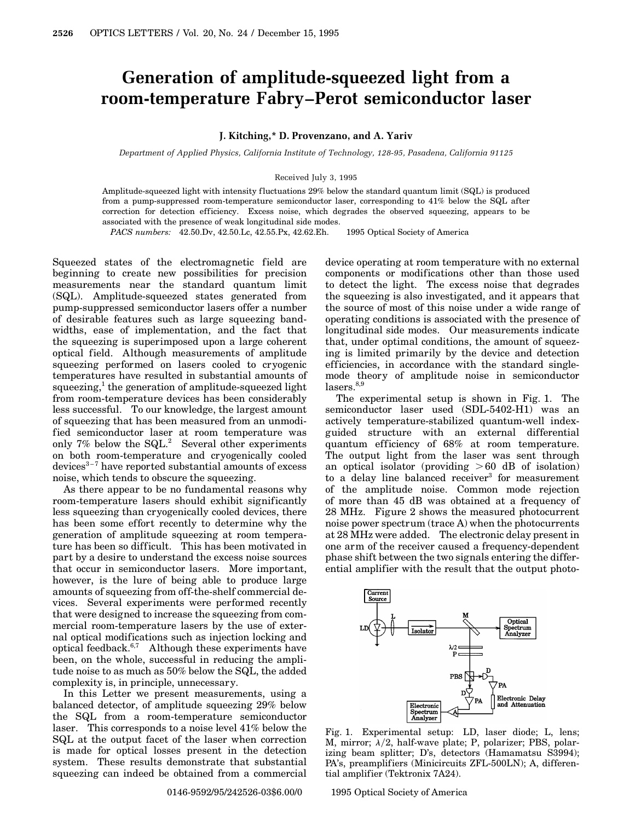## **Generation of amplitude-squeezed light from a room-temperature Fabry–Perot semiconductor laser**

## **J. Kitching,\* D. Provenzano, and A. Yariv**

*Department of Applied Physics, California Institute of Technology, 128-95, Pasadena, California 91125*

## Received July 3, 1995

Amplitude-squeezed light with intensity fluctuations 29% below the standard quantum limit (SQL) is produced from a pump-suppressed room-temperature semiconductor laser, corresponding to 41% below the SQL after correction for detection efficiency. Excess noise, which degrades the observed squeezing, appears to be associated with the presence of weak longitudinal side modes.

*PACS numbers:* 42.50.Dv, 42.50.Lc, 42.55.Px, 42.62.Eh.  $\circ$  1995 Optical Society of America

Squeezed states of the electromagnetic field are beginning to create new possibilities for precision measurements near the standard quantum limit (SQL). Amplitude-squeezed states generated from pump-suppressed semiconductor lasers offer a number of desirable features such as large squeezing bandwidths, ease of implementation, and the fact that the squeezing is superimposed upon a large coherent optical field. Although measurements of amplitude squeezing performed on lasers cooled to cryogenic temperatures have resulted in substantial amounts of squeezing,<sup>1</sup> the generation of amplitude-squeezed light from room-temperature devices has been considerably less successful. To our knowledge, the largest amount of squeezing that has been measured from an unmodified semiconductor laser at room temperature was only 7% below the  $SQL<sup>2</sup>$  Several other experiments on both room-temperature and cryogenically cooled devices $3-7$  have reported substantial amounts of excess noise, which tends to obscure the squeezing.

As there appear to be no fundamental reasons why room-temperature lasers should exhibit significantly less squeezing than cryogenically cooled devices, there has been some effort recently to determine why the generation of amplitude squeezing at room temperature has been so difficult. This has been motivated in part by a desire to understand the excess noise sources that occur in semiconductor lasers. More important, however, is the lure of being able to produce large amounts of squeezing from off-the-shelf commercial devices. Several experiments were performed recently that were designed to increase the squeezing from commercial room-temperature lasers by the use of external optical modifications such as injection locking and optical feedback. $6,7$  Although these experiments have been, on the whole, successful in reducing the amplitude noise to as much as 50% below the SQL, the added complexity is, in principle, unnecessary.

In this Letter we present measurements, using a balanced detector, of amplitude squeezing 29% below the SQL from a room-temperature semiconductor laser. This corresponds to a noise level 41% below the SQL at the output facet of the laser when correction is made for optical losses present in the detection system. These results demonstrate that substantial squeezing can indeed be obtained from a commercial

device operating at room temperature with no external components or modifications other than those used to detect the light. The excess noise that degrades the squeezing is also investigated, and it appears that the source of most of this noise under a wide range of operating conditions is associated with the presence of longitudinal side modes. Our measurements indicate that, under optimal conditions, the amount of squeezing is limited primarily by the device and detection efficiencies, in accordance with the standard singlemode theory of amplitude noise in semiconductor  $lases.<sup>8,9</sup>$ 

The experimental setup is shown in Fig. 1. The semiconductor laser used (SDL-5402-H1) was an actively temperature-stabilized quantum-well indexguided structure with an external differential quantum efficiency of 68% at room temperature. The output light from the laser was sent through an optical isolator (providing  $>60$  dB of isolation) to a delay line balanced receiver<sup>3</sup> for measurement of the amplitude noise. Common mode rejection of more than 45 dB was obtained at a frequency of 28 MHz. Figure 2 shows the measured photocurrent noise power spectrum (trace A) when the photocurrents at 28 MHz were added. The electronic delay present in one arm of the receiver caused a frequency-dependent phase shift between the two signals entering the differential amplifier with the result that the output photo-



Fig. 1. Experimental setup: LD, laser diode; L, lens; M, mirror;  $\lambda/2$ , half-wave plate; P, polarizer; PBS, polarizing beam splitter; D's, detectors (Hamamatsu S3994); PA's, preamplifiers (Minicircuits ZFL-500LN); A, differential amplifier (Tektronix 7A24).

0146-9592/95/242526-03\$6.00/0 © 1995 Optical Society of America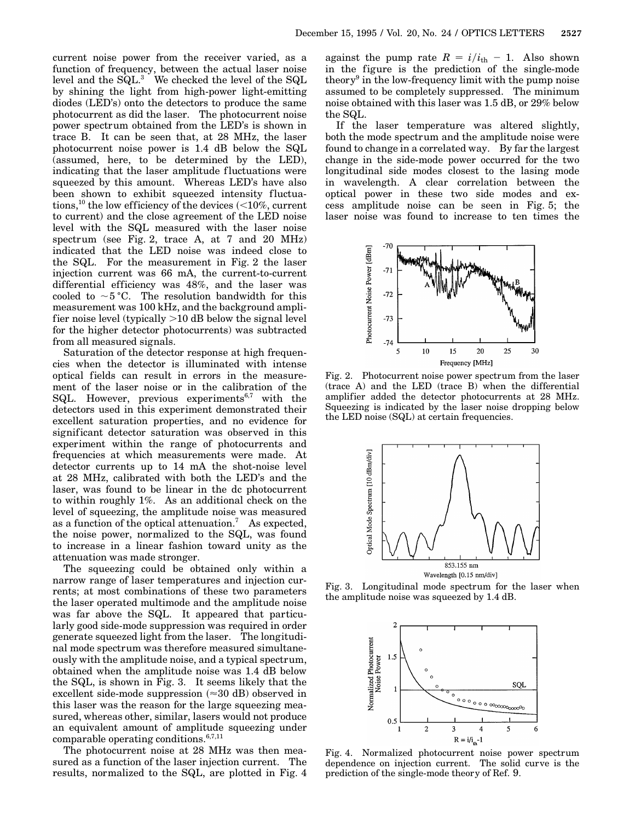current noise power from the receiver varied, as a function of frequency, between the actual laser noise level and the SQL.3 We checked the level of the SQL by shining the light from high-power light-emitting diodes (LED's) onto the detectors to produce the same photocurrent as did the laser. The photocurrent noise power spectrum obtained from the LED's is shown in trace B. It can be seen that, at 28 MHz, the laser photocurrent noise power is 1.4 dB below the SQL (assumed, here, to be determined by the LED), indicating that the laser amplitude fluctuations were squeezed by this amount. Whereas LED's have also been shown to exhibit squeezed intensity fluctuations,<sup>10</sup> the low efficiency of the devices  $\left($  < 10%, current to current) and the close agreement of the LED noise level with the SQL measured with the laser noise spectrum (see Fig. 2, trace A, at 7 and 20 MHz) indicated that the LED noise was indeed close to the SQL. For the measurement in Fig. 2 the laser injection current was 66 mA, the current-to-current differential efficiency was 48%, and the laser was cooled to  $\sim$  5 °C. The resolution bandwidth for this measurement was 100 kHz, and the background amplifier noise level (typically  $>10$  dB below the signal level for the higher detector photocurrents) was subtracted from all measured signals.

Saturation of the detector response at high frequencies when the detector is illuminated with intense optical fields can result in errors in the measurement of the laser noise or in the calibration of the SQL. However, previous experiments<sup>6,7</sup> with the detectors used in this experiment demonstrated their excellent saturation properties, and no evidence for significant detector saturation was observed in this experiment within the range of photocurrents and frequencies at which measurements were made. At detector currents up to 14 mA the shot-noise level at 28 MHz, calibrated with both the LED's and the laser, was found to be linear in the dc photocurrent to within roughly 1%. As an additional check on the level of squeezing, the amplitude noise was measured as a function of the optical attenuation.<sup>7</sup> As expected, the noise power, normalized to the SQL, was found to increase in a linear fashion toward unity as the attenuation was made stronger.

The squeezing could be obtained only within a narrow range of laser temperatures and injection currents; at most combinations of these two parameters the laser operated multimode and the amplitude noise was far above the SQL. It appeared that particularly good side-mode suppression was required in order generate squeezed light from the laser. The longitudinal mode spectrum was therefore measured simultaneously with the amplitude noise, and a typical spectrum, obtained when the amplitude noise was 1.4 dB below the SQL, is shown in Fig. 3. It seems likely that the excellent side-mode suppression  $(\approx 30 \text{ dB})$  observed in this laser was the reason for the large squeezing measured, whereas other, similar, lasers would not produce an equivalent amount of amplitude squeezing under comparable operating conditions.<sup>6,7,11</sup>

The photocurrent noise at 28 MHz was then measured as a function of the laser injection current. The results, normalized to the SQL, are plotted in Fig. 4

against the pump rate  $R = i/i_{th} - 1$ . Also shown in the figure is the prediction of the single-mode theory<sup>9</sup> in the low-frequency limit with the pump noise assumed to be completely suppressed. The minimum noise obtained with this laser was 1.5 dB, or 29% below the SQL.

If the laser temperature was altered slightly, both the mode spectrum and the amplitude noise were found to change in a correlated way. By far the largest change in the side-mode power occurred for the two longitudinal side modes closest to the lasing mode in wavelength. A clear correlation between the optical power in these two side modes and excess amplitude noise can be seen in Fig. 5; the laser noise was found to increase to ten times the



Fig. 2. Photocurrent noise power spectrum from the laser (trace A) and the LED (trace B) when the differential amplifier added the detector photocurrents at 28 MHz. Squeezing is indicated by the laser noise dropping below the LED noise (SQL) at certain frequencies.



Fig. 3. Longitudinal mode spectrum for the laser when the amplitude noise was squeezed by 1.4 dB.



Fig. 4. Normalized photocurrent noise power spectrum dependence on injection current. The solid curve is the prediction of the single-mode theory of Ref. 9.